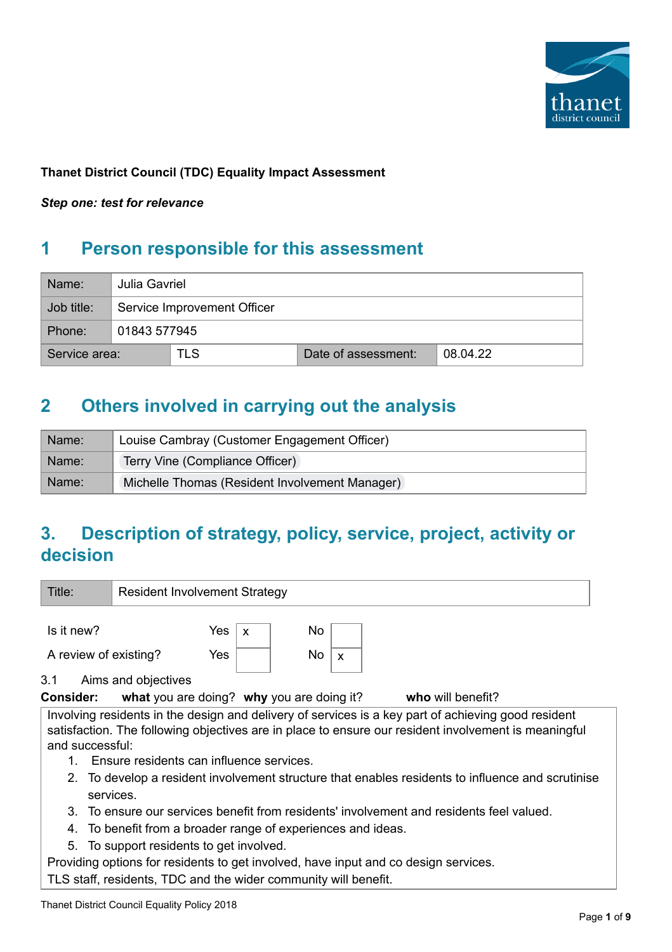

### **Thanet District Council (TDC) Equality Impact Assessment**

*Step one: test for relevance*

# **1 Person responsible for this assessment**

| Name:         |                                               | Julia Gavriel               |  |  |  |  |  |  |
|---------------|-----------------------------------------------|-----------------------------|--|--|--|--|--|--|
| Job title:    |                                               | Service Improvement Officer |  |  |  |  |  |  |
| Phone:        | 01843 577945                                  |                             |  |  |  |  |  |  |
| Service area: | <b>TLS</b><br>Date of assessment:<br>08.04.22 |                             |  |  |  |  |  |  |

## **2 Others involved in carrying out the analysis**

| ≒Name: | Louise Cambray (Customer Engagement Officer)   |  |  |
|--------|------------------------------------------------|--|--|
| Name:  | Terry Vine (Compliance Officer)                |  |  |
| Name:  | Michelle Thomas (Resident Involvement Manager) |  |  |

# **3. Description of strategy, policy, service, project, activity or decision**

| Title:                                                                                                                                                                                                                         | <b>Resident Involvement Strategy</b> |                                  |                                           |              |                   |  |  |  |
|--------------------------------------------------------------------------------------------------------------------------------------------------------------------------------------------------------------------------------|--------------------------------------|----------------------------------|-------------------------------------------|--------------|-------------------|--|--|--|
| Is it new?                                                                                                                                                                                                                     |                                      | Yes<br>$\boldsymbol{\mathsf{x}}$ | No                                        |              |                   |  |  |  |
| A review of existing?                                                                                                                                                                                                          |                                      | Yes                              | No.                                       | $\mathsf{x}$ |                   |  |  |  |
| 3.1                                                                                                                                                                                                                            | Aims and objectives                  |                                  |                                           |              |                   |  |  |  |
| <b>Consider:</b>                                                                                                                                                                                                               |                                      |                                  | what you are doing? why you are doing it? |              | who will benefit? |  |  |  |
| Involving residents in the design and delivery of services is a key part of achieving good resident<br>satisfaction. The following objectives are in place to ensure our resident involvement is meaningful<br>and successful: |                                      |                                  |                                           |              |                   |  |  |  |

- 1. Ensure residents can influence services.
- 2. To develop a resident involvement structure that enables residents to influence and scrutinise services.
- 3. To ensure our services benefit from residents' involvement and residents feel valued.
- 4. To benefit from a broader range of experiences and ideas.
- 5. To support residents to get involved.

Providing options for residents to get involved, have input and co design services.

TLS staff, residents, TDC and the wider community will benefit.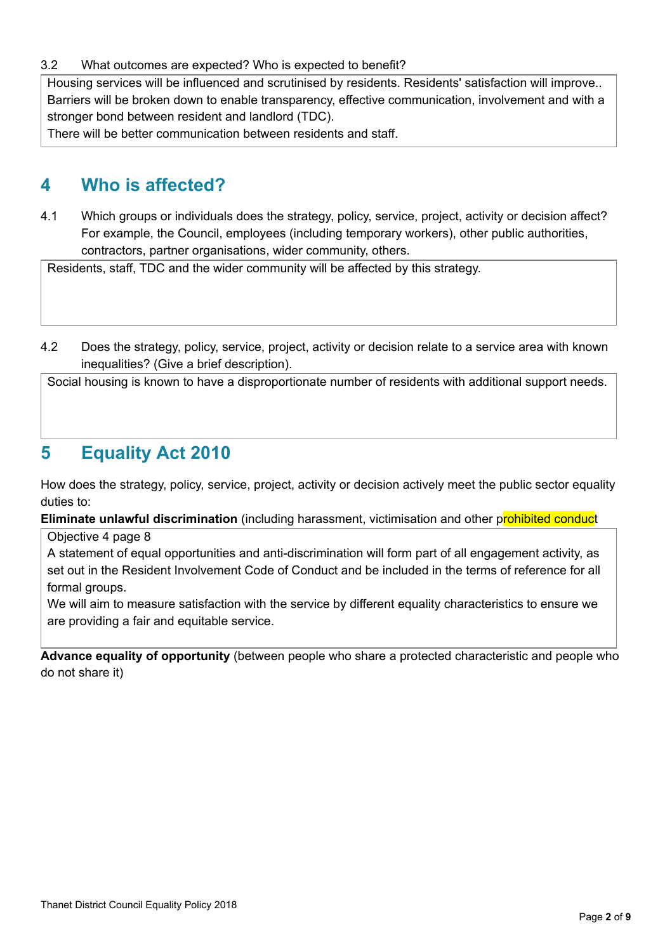#### 3.2 What outcomes are expected? Who is expected to benefit?

Housing services will be influenced and scrutinised by residents. Residents' satisfaction will improve.. Barriers will be broken down to enable transparency, effective communication, involvement and with a stronger bond between resident and landlord (TDC).

There will be better communication between residents and staff.

## **4 Who is affected?**

4.1 Which groups or individuals does the strategy, policy, service, project, activity or decision affect? For example, the Council, employees (including temporary workers), other public authorities, contractors, partner organisations, wider community, others.

Residents, staff, TDC and the wider community will be affected by this strategy.

4.2 Does the strategy, policy, service, project, activity or decision relate to a service area with known inequalities? (Give a brief description).

Social housing is known to have a disproportionate number of residents with additional support needs.

### **5 Equality Act 2010**

How does the strategy, policy, service, project, activity or decision actively meet the public sector equality duties to:

**Eliminate unlawful discrimination** (including harassment, victimisation and other prohibited conduct

Objective 4 page 8

A statement of equal opportunities and anti-discrimination will form part of all engagement activity, as set out in the Resident Involvement Code of Conduct and be included in the terms of reference for all formal groups.

We will aim to measure satisfaction with the service by different equality characteristics to ensure we are providing a fair and equitable service.

**Advance equality of opportunity** (between people who share a protected characteristic and people who do not share it)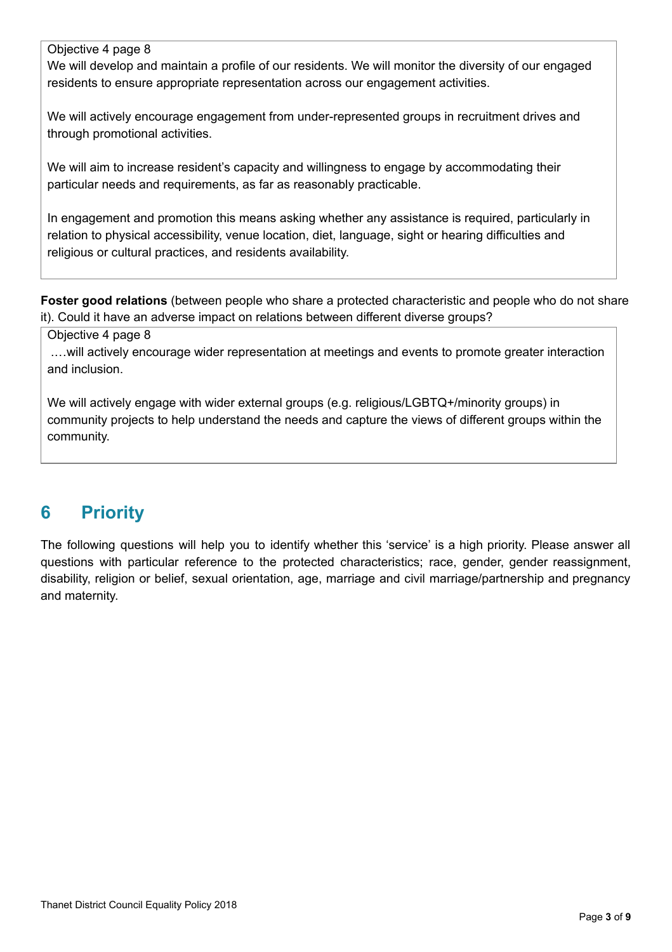#### Objective 4 page 8

We will develop and maintain a profile of our residents. We will monitor the diversity of our engaged residents to ensure appropriate representation across our engagement activities.

We will actively encourage engagement from under-represented groups in recruitment drives and through promotional activities.

We will aim to increase resident's capacity and willingness to engage by accommodating their particular needs and requirements, as far as reasonably practicable.

In engagement and promotion this means asking whether any assistance is required, particularly in relation to physical accessibility, venue location, diet, language, sight or hearing difficulties and religious or cultural practices, and residents availability.

**Foster good relations** (between people who share a protected characteristic and people who do not share it). Could it have an adverse impact on relations between different diverse groups?

Objective 4 page 8

.…will actively encourage wider representation at meetings and events to promote greater interaction and inclusion.

We will actively engage with wider external groups (e.g. religious/LGBTQ+/minority groups) in community projects to help understand the needs and capture the views of different groups within the community.

# **6 Priority**

The following questions will help you to identify whether this 'service' is a high priority. Please answer all questions with particular reference to the protected characteristics; race, gender, gender reassignment, disability, religion or belief, sexual orientation, age, marriage and civil marriage/partnership and pregnancy and maternity.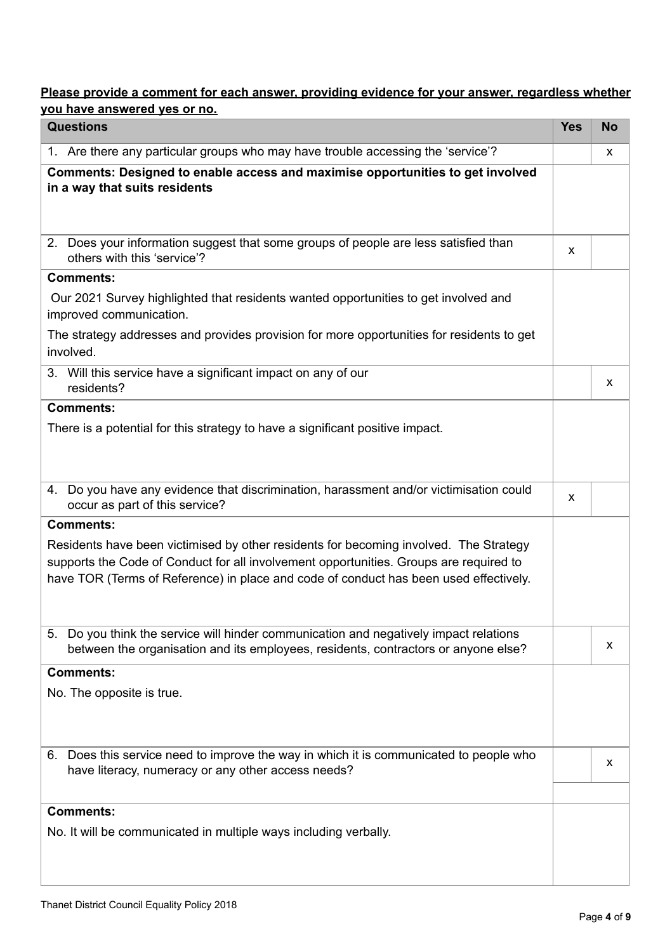### **Please provide a comment for each answer, providing evidence for your answer, regardless whether you have answered yes or no.**

| <b>Questions</b>                                                                                                                                                                                                                                                         | <b>Yes</b> | <b>No</b> |  |
|--------------------------------------------------------------------------------------------------------------------------------------------------------------------------------------------------------------------------------------------------------------------------|------------|-----------|--|
| 1. Are there any particular groups who may have trouble accessing the 'service'?                                                                                                                                                                                         |            | X         |  |
| Comments: Designed to enable access and maximise opportunities to get involved<br>in a way that suits residents                                                                                                                                                          |            |           |  |
| 2. Does your information suggest that some groups of people are less satisfied than<br>others with this 'service'?                                                                                                                                                       | X          |           |  |
| <b>Comments:</b>                                                                                                                                                                                                                                                         |            |           |  |
| Our 2021 Survey highlighted that residents wanted opportunities to get involved and<br>improved communication.                                                                                                                                                           |            |           |  |
| The strategy addresses and provides provision for more opportunities for residents to get<br>involved.                                                                                                                                                                   |            |           |  |
| 3. Will this service have a significant impact on any of our<br>residents?                                                                                                                                                                                               |            | X         |  |
| <b>Comments:</b>                                                                                                                                                                                                                                                         |            |           |  |
| There is a potential for this strategy to have a significant positive impact.                                                                                                                                                                                            |            |           |  |
| 4. Do you have any evidence that discrimination, harassment and/or victimisation could<br>occur as part of this service?                                                                                                                                                 | X          |           |  |
| <b>Comments:</b>                                                                                                                                                                                                                                                         |            |           |  |
| Residents have been victimised by other residents for becoming involved. The Strategy<br>supports the Code of Conduct for all involvement opportunities. Groups are required to<br>have TOR (Terms of Reference) in place and code of conduct has been used effectively. |            |           |  |
| 5. Do you think the service will hinder communication and negatively impact relations<br>between the organisation and its employees, residents, contractors or anyone else?                                                                                              |            | x         |  |
| <b>Comments:</b>                                                                                                                                                                                                                                                         |            |           |  |
| No. The opposite is true.                                                                                                                                                                                                                                                |            |           |  |
| 6. Does this service need to improve the way in which it is communicated to people who<br>have literacy, numeracy or any other access needs?                                                                                                                             |            |           |  |
|                                                                                                                                                                                                                                                                          |            |           |  |
| <b>Comments:</b><br>No. It will be communicated in multiple ways including verbally.                                                                                                                                                                                     |            |           |  |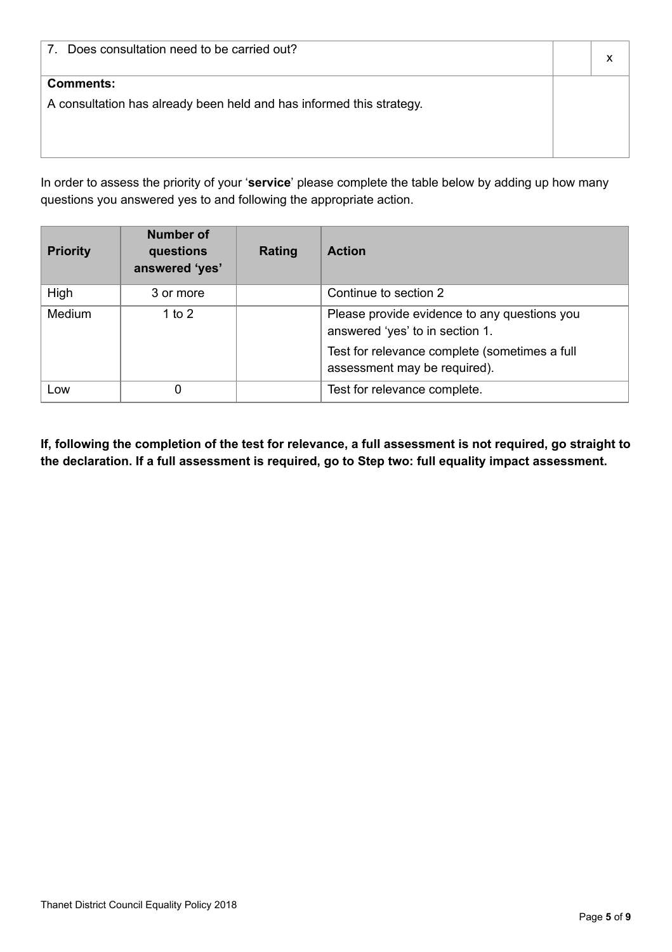| Does consultation need to be carried out?<br>7                                           |  |
|------------------------------------------------------------------------------------------|--|
| <b>Comments:</b><br>A consultation has already been held and has informed this strategy. |  |

In order to assess the priority of your '**service**' please complete the table below by adding up how many questions you answered yes to and following the appropriate action.

| <b>Priority</b> | <b>Number of</b><br>questions<br>answered 'yes' | Rating | <b>Action</b>                                                                                                                                                    |
|-----------------|-------------------------------------------------|--------|------------------------------------------------------------------------------------------------------------------------------------------------------------------|
| High            | 3 or more                                       |        | Continue to section 2                                                                                                                                            |
| Medium          | 1 to 2                                          |        | Please provide evidence to any questions you<br>answered 'yes' to in section 1.<br>Test for relevance complete (sometimes a full<br>assessment may be required). |
| Low             |                                                 |        | Test for relevance complete.                                                                                                                                     |

If, following the completion of the test for relevance, a full assessment is not required, go straight to **the declaration. If a full assessment is required, go to Step two: full equality impact assessment.**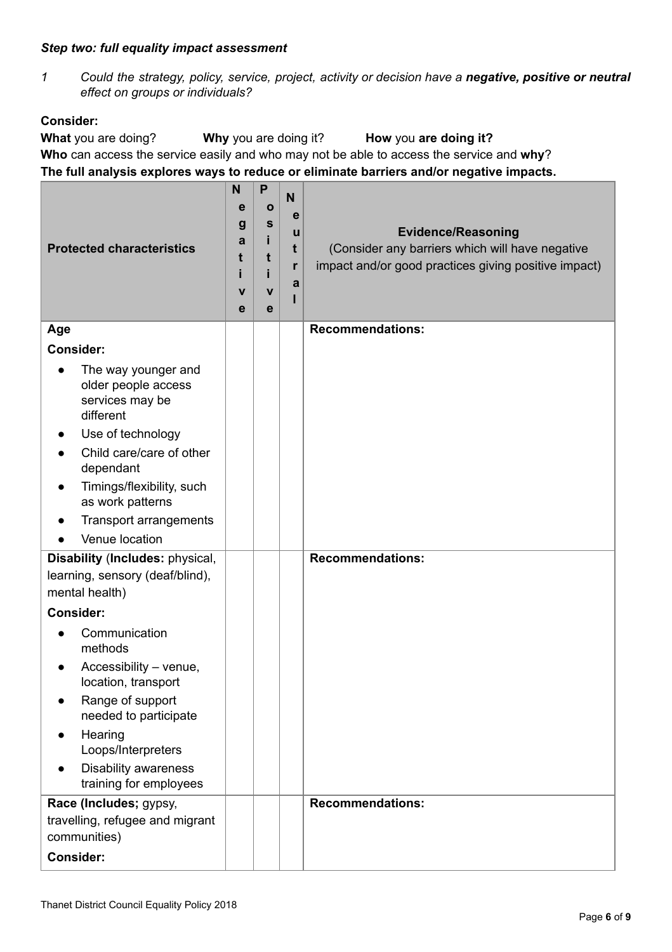#### *Step two: full equality impact assessment*

*1 Could the strategy, policy, service, project, activity or decision have a negative, positive or neutral effect on groups or individuals?*

### **Consider:**

**What** you are doing? **Why** you are doing it? **How** you **are doing it? Who** can access the service easily and who may not be able to access the service and **why**? **The full analysis explores ways to reduce or eliminate barriers and/or negative impacts.**

| <b>Protected characteristics</b>                                                                                                                                                                                                              |  | P<br>Ο<br>$\mathbf{s}$<br>t<br>$\mathbf v$<br>e | N<br>$\mathbf e$<br>u<br>t<br>r<br>a | <b>Evidence/Reasoning</b><br>(Consider any barriers which will have negative<br>impact and/or good practices giving positive impact) |
|-----------------------------------------------------------------------------------------------------------------------------------------------------------------------------------------------------------------------------------------------|--|-------------------------------------------------|--------------------------------------|--------------------------------------------------------------------------------------------------------------------------------------|
| Age                                                                                                                                                                                                                                           |  |                                                 |                                      | <b>Recommendations:</b>                                                                                                              |
| <b>Consider:</b>                                                                                                                                                                                                                              |  |                                                 |                                      |                                                                                                                                      |
| The way younger and<br>$\bullet$<br>older people access<br>services may be<br>different<br>Use of technology<br>Child care/care of other<br>dependant<br>Timings/flexibility, such<br>$\bullet$<br>as work patterns<br>Transport arrangements |  |                                                 |                                      |                                                                                                                                      |
| Venue location                                                                                                                                                                                                                                |  |                                                 |                                      |                                                                                                                                      |
| Disability (Includes: physical,<br>learning, sensory (deaf/blind),<br>mental health)                                                                                                                                                          |  |                                                 |                                      | <b>Recommendations:</b>                                                                                                              |
| <b>Consider:</b>                                                                                                                                                                                                                              |  |                                                 |                                      |                                                                                                                                      |
| Communication<br>methods<br>Accessibility - venue,<br>location, transport<br>Range of support<br>needed to participate<br>Hearing<br>Loops/Interpreters<br><b>Disability awareness</b><br>training for employees                              |  |                                                 |                                      |                                                                                                                                      |
| Race (Includes; gypsy,<br>travelling, refugee and migrant                                                                                                                                                                                     |  |                                                 |                                      | <b>Recommendations:</b>                                                                                                              |
| communities)                                                                                                                                                                                                                                  |  |                                                 |                                      |                                                                                                                                      |
| <b>Consider:</b>                                                                                                                                                                                                                              |  |                                                 |                                      |                                                                                                                                      |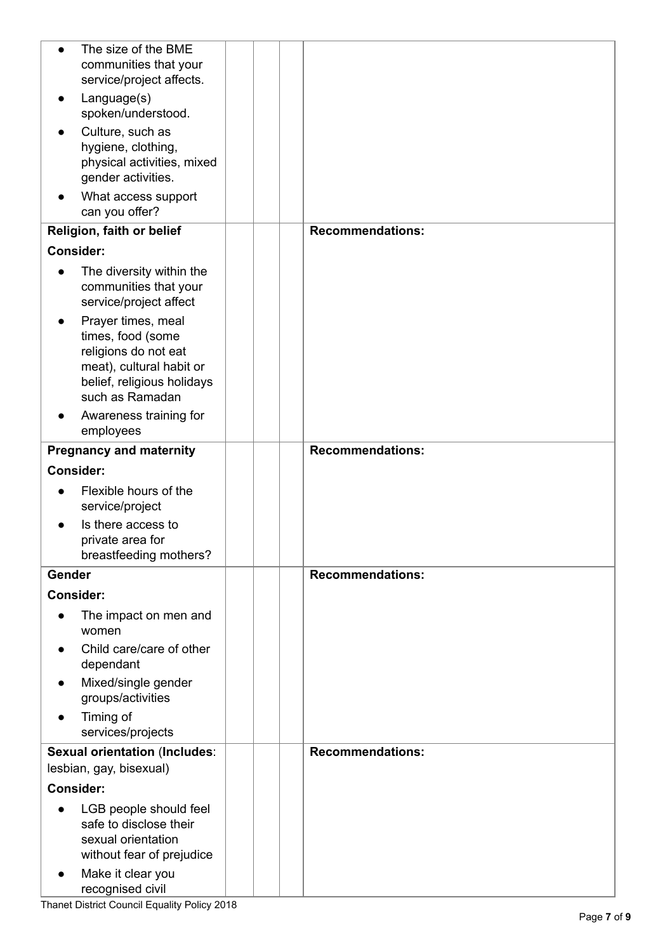| $\bullet$        | The size of the BME<br>communities that your<br>service/project affects.                                                                     |                         |
|------------------|----------------------------------------------------------------------------------------------------------------------------------------------|-------------------------|
|                  | Language(s)<br>spoken/understood.                                                                                                            |                         |
|                  | Culture, such as<br>hygiene, clothing,<br>physical activities, mixed<br>gender activities.                                                   |                         |
|                  | What access support<br>can you offer?                                                                                                        |                         |
|                  | Religion, faith or belief                                                                                                                    | <b>Recommendations:</b> |
| <b>Consider:</b> |                                                                                                                                              |                         |
| $\bullet$        | The diversity within the<br>communities that your<br>service/project affect                                                                  |                         |
|                  | Prayer times, meal<br>times, food (some<br>religions do not eat<br>meat), cultural habit or<br>belief, religious holidays<br>such as Ramadan |                         |
|                  | Awareness training for<br>employees                                                                                                          |                         |
|                  | <b>Pregnancy and maternity</b>                                                                                                               | <b>Recommendations:</b> |
| <b>Consider:</b> |                                                                                                                                              |                         |
|                  | Flexible hours of the<br>service/project                                                                                                     |                         |
|                  | Is there access to<br>private area for<br>breastfeeding mothers?                                                                             |                         |
| Gender           |                                                                                                                                              | <b>Recommendations:</b> |
| <b>Consider:</b> |                                                                                                                                              |                         |
|                  | The impact on men and<br>women                                                                                                               |                         |
|                  | Child care/care of other<br>dependant                                                                                                        |                         |
|                  | Mixed/single gender<br>groups/activities                                                                                                     |                         |
|                  | Timing of<br>services/projects                                                                                                               |                         |
|                  | <b>Sexual orientation (Includes:</b>                                                                                                         | <b>Recommendations:</b> |
|                  | lesbian, gay, bisexual)                                                                                                                      |                         |
| <b>Consider:</b> |                                                                                                                                              |                         |
|                  | LGB people should feel<br>safe to disclose their<br>sexual orientation<br>without fear of prejudice                                          |                         |
| $\bullet$        | Make it clear you<br>recognised civil                                                                                                        |                         |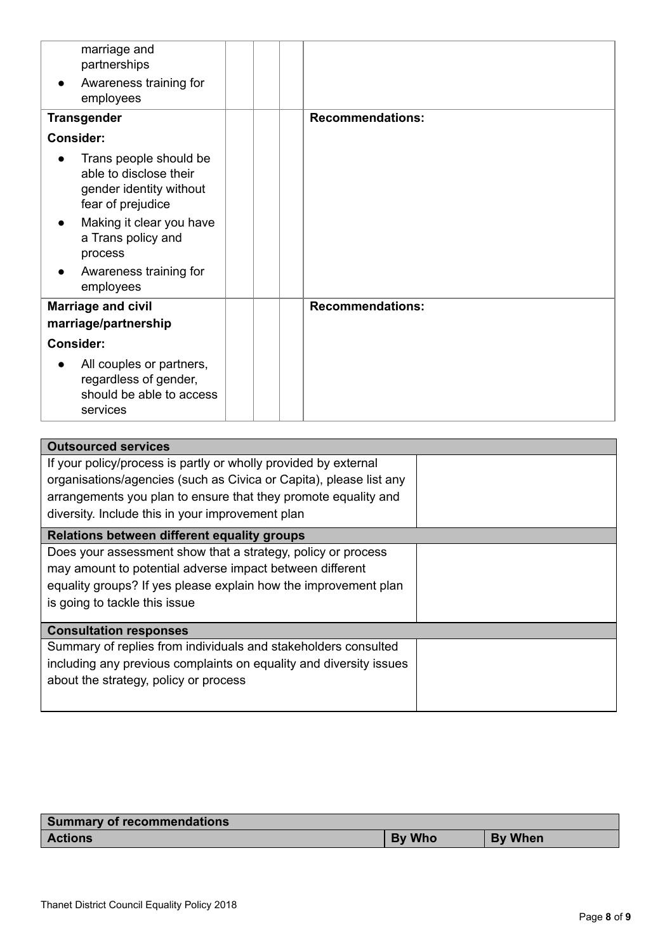| marriage and<br>partnerships                                                                     |                         |
|--------------------------------------------------------------------------------------------------|-------------------------|
| Awareness training for<br>employees                                                              |                         |
| <b>Transgender</b>                                                                               | <b>Recommendations:</b> |
| <b>Consider:</b>                                                                                 |                         |
| Trans people should be<br>able to disclose their<br>gender identity without<br>fear of prejudice |                         |
| Making it clear you have<br>$\bullet$<br>a Trans policy and<br>process                           |                         |
| Awareness training for<br>employees                                                              |                         |
| <b>Marriage and civil</b><br>marriage/partnership                                                | <b>Recommendations:</b> |
| <b>Consider:</b>                                                                                 |                         |
| All couples or partners,<br>regardless of gender,<br>should be able to access<br>services        |                         |

| <b>Outsourced services</b>                                         |  |
|--------------------------------------------------------------------|--|
| If your policy/process is partly or wholly provided by external    |  |
| organisations/agencies (such as Civica or Capita), please list any |  |
| arrangements you plan to ensure that they promote equality and     |  |
| diversity. Include this in your improvement plan                   |  |
| Relations between different equality groups                        |  |
| Does your assessment show that a strategy, policy or process       |  |
| may amount to potential adverse impact between different           |  |
| equality groups? If yes please explain how the improvement plan    |  |
| is going to tackle this issue                                      |  |
|                                                                    |  |
| <b>Consultation responses</b>                                      |  |
| Summary of replies from individuals and stakeholders consulted     |  |
| including any previous complaints on equality and diversity issues |  |
| about the strategy, policy or process                              |  |
|                                                                    |  |

| Summary of recommendations |        |                |  |  |
|----------------------------|--------|----------------|--|--|
| <b>Actions</b>             | By Who | <b>By When</b> |  |  |